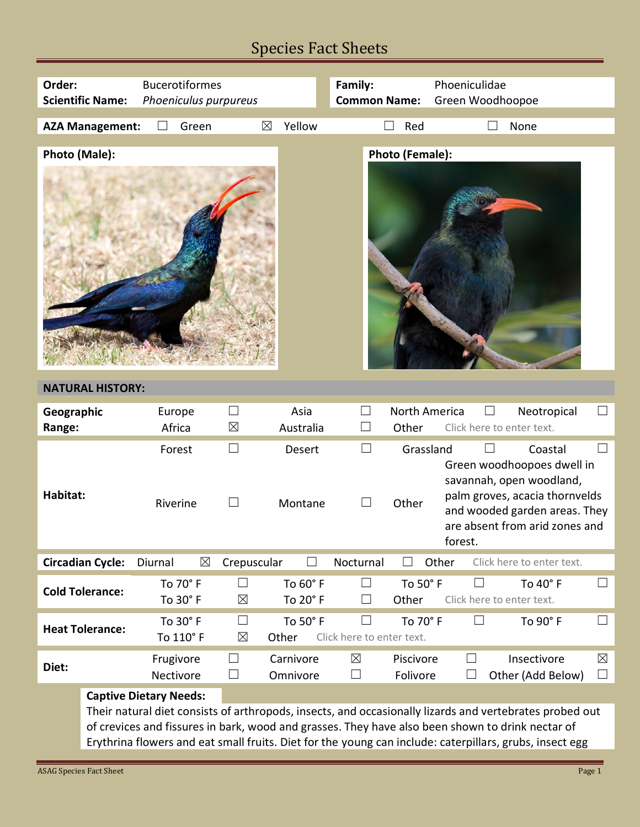## Species Fact Sheets

| Order:                                           |                                                                                                                                                                                                                                                                                                                        | <b>Bucerotiformes</b>  |                         |                      | Family:                   |                        | Phoeniculidae                                                                                                                                                                     |  |
|--------------------------------------------------|------------------------------------------------------------------------------------------------------------------------------------------------------------------------------------------------------------------------------------------------------------------------------------------------------------------------|------------------------|-------------------------|----------------------|---------------------------|------------------------|-----------------------------------------------------------------------------------------------------------------------------------------------------------------------------------|--|
| <b>Scientific Name:</b><br>Phoeniculus purpureus |                                                                                                                                                                                                                                                                                                                        |                        | <b>Common Name:</b>     |                      | Green Woodhoopoe          |                        |                                                                                                                                                                                   |  |
|                                                  | <b>AZA Management:</b>                                                                                                                                                                                                                                                                                                 | Green                  | $\boxtimes$             | Yellow               |                           | П<br>Red               | None                                                                                                                                                                              |  |
|                                                  |                                                                                                                                                                                                                                                                                                                        |                        |                         |                      |                           |                        |                                                                                                                                                                                   |  |
| <b>Photo (Male):</b>                             |                                                                                                                                                                                                                                                                                                                        |                        |                         |                      |                           | <b>Photo (Female):</b> |                                                                                                                                                                                   |  |
|                                                  |                                                                                                                                                                                                                                                                                                                        |                        |                         |                      |                           |                        |                                                                                                                                                                                   |  |
| <b>NATURAL HISTORY:</b>                          |                                                                                                                                                                                                                                                                                                                        |                        |                         |                      |                           |                        |                                                                                                                                                                                   |  |
| Geographic<br>Range:                             |                                                                                                                                                                                                                                                                                                                        | Europe<br>Africa       | $\Box$<br>$\boxtimes$   | Asia<br>Australia    |                           | North America<br>Other | Neotropical<br>Click here to enter text.                                                                                                                                          |  |
|                                                  |                                                                                                                                                                                                                                                                                                                        |                        |                         |                      |                           |                        |                                                                                                                                                                                   |  |
| Habitat:                                         |                                                                                                                                                                                                                                                                                                                        | Forest<br>Riverine     | $\Box$<br>$\mathcal{L}$ | Desert<br>Montane    | $\vert \ \ \vert$         | Grassland<br>Other     | Coastal<br>Green woodhoopoes dwell in<br>savannah, open woodland,<br>palm groves, acacia thornvelds<br>and wooded garden areas. They<br>are absent from arid zones and<br>forest. |  |
|                                                  | <b>Circadian Cycle:</b>                                                                                                                                                                                                                                                                                                | $\boxtimes$<br>Diurnal | Crepuscular             |                      | Nocturnal                 | $\Box$                 | Other<br>Click here to enter text.                                                                                                                                                |  |
| <b>Cold Tolerance:</b>                           |                                                                                                                                                                                                                                                                                                                        | To 70° F<br>To 30° F   | $\Box$<br>$\boxtimes$   | To 60° F<br>To 20° F | $\Box$<br>$\Box$          | To 50° F<br>Other      | To 40° F<br>$\Box$<br>$\perp$<br>Click here to enter text.                                                                                                                        |  |
|                                                  |                                                                                                                                                                                                                                                                                                                        | To 30° F               | $\Box$                  | To 50° F             | $\Box$                    | To 70° F               | To 90° F<br>$\Box$<br>$\Box$                                                                                                                                                      |  |
|                                                  | <b>Heat Tolerance:</b>                                                                                                                                                                                                                                                                                                 | To 110° F              | $\boxtimes$             | Other                | Click here to enter text. |                        |                                                                                                                                                                                   |  |
| Diet:                                            |                                                                                                                                                                                                                                                                                                                        | Frugivore              | $\Box$                  | Carnivore            | $\boxtimes$               | Piscivore              | $\boxtimes$<br>$\Box$<br>Insectivore                                                                                                                                              |  |
|                                                  |                                                                                                                                                                                                                                                                                                                        | Nectivore              | ⊔                       | Omnivore             | ⊔                         | Folivore               | Other (Add Below)<br>$\Box$<br>$\vert \ \ \vert$                                                                                                                                  |  |
|                                                  | <b>Captive Dietary Needs:</b>                                                                                                                                                                                                                                                                                          |                        |                         |                      |                           |                        |                                                                                                                                                                                   |  |
|                                                  | Their natural diet consists of arthropods, insects, and occasionally lizards and vertebrates probed out<br>of crevices and fissures in bark, wood and grasses. They have also been shown to drink nectar of<br>Erythrina flowers and eat small fruits. Diet for the young can include: caterpillars, grubs, insect egg |                        |                         |                      |                           |                        |                                                                                                                                                                                   |  |

Е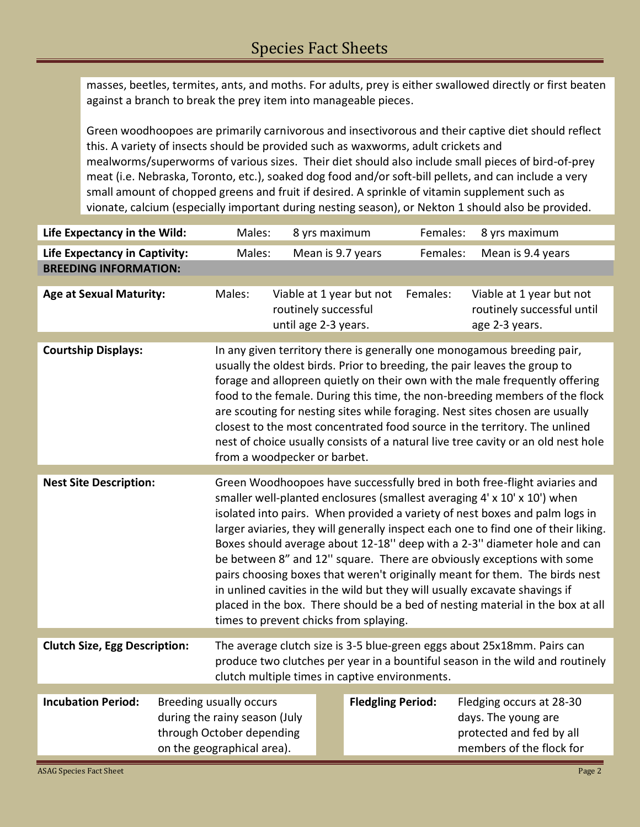masses, beetles, termites, ants, and moths. For adults, prey is either swallowed directly or first beaten against a branch to break the prey item into manageable pieces.

Green woodhoopoes are primarily carnivorous and insectivorous and their captive diet should reflect this. A variety of insects should be provided such as waxworms, adult crickets and mealworms/superworms of various sizes. Their diet should also include small pieces of bird-of-prey meat (i.e. Nebraska, Toronto, etc.), soaked dog food and/or soft-bill pellets, and can include a very small amount of chopped greens and fruit if desired. A sprinkle of vitamin supplement such as vionate, calcium (especially important during nesting season), or Nekton 1 should also be provided.

| Life Expectancy in the Wild:         |                                                                                                                                                                                                                                                                                                                                                                                                                                                                                                                                                                                                       | Males:                                                                                                                                                                                                                                                                                                                                                                                                                                                                                                                                                                                                                                                                                                                                                                    |                                                                          | 8 yrs maximum            | Females: | 8 yrs maximum                                                               |  |
|--------------------------------------|-------------------------------------------------------------------------------------------------------------------------------------------------------------------------------------------------------------------------------------------------------------------------------------------------------------------------------------------------------------------------------------------------------------------------------------------------------------------------------------------------------------------------------------------------------------------------------------------------------|---------------------------------------------------------------------------------------------------------------------------------------------------------------------------------------------------------------------------------------------------------------------------------------------------------------------------------------------------------------------------------------------------------------------------------------------------------------------------------------------------------------------------------------------------------------------------------------------------------------------------------------------------------------------------------------------------------------------------------------------------------------------------|--------------------------------------------------------------------------|--------------------------|----------|-----------------------------------------------------------------------------|--|
| <b>Life Expectancy in Captivity:</b> |                                                                                                                                                                                                                                                                                                                                                                                                                                                                                                                                                                                                       | Males:                                                                                                                                                                                                                                                                                                                                                                                                                                                                                                                                                                                                                                                                                                                                                                    |                                                                          | Mean is 9.7 years        | Females: | Mean is 9.4 years                                                           |  |
| <b>BREEDING INFORMATION:</b>         |                                                                                                                                                                                                                                                                                                                                                                                                                                                                                                                                                                                                       |                                                                                                                                                                                                                                                                                                                                                                                                                                                                                                                                                                                                                                                                                                                                                                           |                                                                          |                          |          |                                                                             |  |
| <b>Age at Sexual Maturity:</b>       |                                                                                                                                                                                                                                                                                                                                                                                                                                                                                                                                                                                                       | Males:                                                                                                                                                                                                                                                                                                                                                                                                                                                                                                                                                                                                                                                                                                                                                                    | Viable at 1 year but not<br>routinely successful<br>until age 2-3 years. |                          | Females: | Viable at 1 year but not<br>routinely successful until<br>age 2-3 years.    |  |
|                                      |                                                                                                                                                                                                                                                                                                                                                                                                                                                                                                                                                                                                       |                                                                                                                                                                                                                                                                                                                                                                                                                                                                                                                                                                                                                                                                                                                                                                           |                                                                          |                          |          |                                                                             |  |
| <b>Courtship Displays:</b>           | In any given territory there is generally one monogamous breeding pair,<br>usually the oldest birds. Prior to breeding, the pair leaves the group to<br>forage and allopreen quietly on their own with the male frequently offering<br>food to the female. During this time, the non-breeding members of the flock<br>are scouting for nesting sites while foraging. Nest sites chosen are usually<br>closest to the most concentrated food source in the territory. The unlined<br>nest of choice usually consists of a natural live tree cavity or an old nest hole<br>from a woodpecker or barbet. |                                                                                                                                                                                                                                                                                                                                                                                                                                                                                                                                                                                                                                                                                                                                                                           |                                                                          |                          |          |                                                                             |  |
|                                      |                                                                                                                                                                                                                                                                                                                                                                                                                                                                                                                                                                                                       |                                                                                                                                                                                                                                                                                                                                                                                                                                                                                                                                                                                                                                                                                                                                                                           |                                                                          |                          |          |                                                                             |  |
| <b>Nest Site Description:</b>        |                                                                                                                                                                                                                                                                                                                                                                                                                                                                                                                                                                                                       | Green Woodhoopoes have successfully bred in both free-flight aviaries and<br>smaller well-planted enclosures (smallest averaging 4' x 10' x 10') when<br>isolated into pairs. When provided a variety of nest boxes and palm logs in<br>larger aviaries, they will generally inspect each one to find one of their liking.<br>Boxes should average about 12-18" deep with a 2-3" diameter hole and can<br>be between 8" and 12" square. There are obviously exceptions with some<br>pairs choosing boxes that weren't originally meant for them. The birds nest<br>in unlined cavities in the wild but they will usually excavate shavings if<br>placed in the box. There should be a bed of nesting material in the box at all<br>times to prevent chicks from splaying. |                                                                          |                          |          |                                                                             |  |
| <b>Clutch Size, Egg Description:</b> |                                                                                                                                                                                                                                                                                                                                                                                                                                                                                                                                                                                                       |                                                                                                                                                                                                                                                                                                                                                                                                                                                                                                                                                                                                                                                                                                                                                                           |                                                                          |                          |          | The average clutch size is 3-5 blue-green eggs about 25x18mm. Pairs can     |  |
|                                      |                                                                                                                                                                                                                                                                                                                                                                                                                                                                                                                                                                                                       | produce two clutches per year in a bountiful season in the wild and routinely<br>clutch multiple times in captive environments.                                                                                                                                                                                                                                                                                                                                                                                                                                                                                                                                                                                                                                           |                                                                          |                          |          |                                                                             |  |
| <b>Incubation Period:</b>            |                                                                                                                                                                                                                                                                                                                                                                                                                                                                                                                                                                                                       | <b>Breeding usually occurs</b>                                                                                                                                                                                                                                                                                                                                                                                                                                                                                                                                                                                                                                                                                                                                            |                                                                          | <b>Fledgling Period:</b> |          | Fledging occurs at 28-30                                                    |  |
|                                      |                                                                                                                                                                                                                                                                                                                                                                                                                                                                                                                                                                                                       | during the rainy season (July<br>through October depending<br>on the geographical area).                                                                                                                                                                                                                                                                                                                                                                                                                                                                                                                                                                                                                                                                                  |                                                                          |                          |          | days. The young are<br>protected and fed by all<br>members of the flock for |  |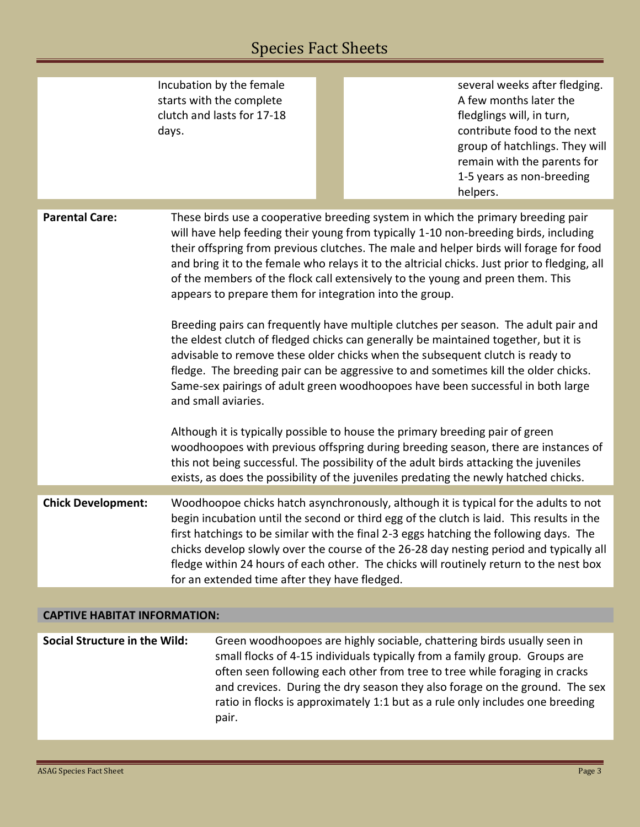# Species Fact Sheets

|                                                                            | Incubation by the female<br>starts with the complete<br>clutch and lasts for 17-18<br>days.                 |                                                                                                                                                                                                                                                                                                                                                                                                                                                                                                                                                                                                                                                                                                                                                                                                                                                                                                                                                                                                                                                                                                                                                                                                                           | several weeks after fledging.<br>A few months later the<br>fledglings will, in turn,<br>contribute food to the next<br>group of hatchlings. They will<br>remain with the parents for<br>1-5 years as non-breeding<br>helpers.                                                                                                                                                                                                                                    |  |  |  |
|----------------------------------------------------------------------------|-------------------------------------------------------------------------------------------------------------|---------------------------------------------------------------------------------------------------------------------------------------------------------------------------------------------------------------------------------------------------------------------------------------------------------------------------------------------------------------------------------------------------------------------------------------------------------------------------------------------------------------------------------------------------------------------------------------------------------------------------------------------------------------------------------------------------------------------------------------------------------------------------------------------------------------------------------------------------------------------------------------------------------------------------------------------------------------------------------------------------------------------------------------------------------------------------------------------------------------------------------------------------------------------------------------------------------------------------|------------------------------------------------------------------------------------------------------------------------------------------------------------------------------------------------------------------------------------------------------------------------------------------------------------------------------------------------------------------------------------------------------------------------------------------------------------------|--|--|--|
|                                                                            |                                                                                                             |                                                                                                                                                                                                                                                                                                                                                                                                                                                                                                                                                                                                                                                                                                                                                                                                                                                                                                                                                                                                                                                                                                                                                                                                                           |                                                                                                                                                                                                                                                                                                                                                                                                                                                                  |  |  |  |
| <b>Parental Care:</b>                                                      | and small aviaries.<br>exists, as does the possibility of the juveniles predating the newly hatched chicks. | These birds use a cooperative breeding system in which the primary breeding pair<br>will have help feeding their young from typically 1-10 non-breeding birds, including<br>their offspring from previous clutches. The male and helper birds will forage for food<br>and bring it to the female who relays it to the altricial chicks. Just prior to fledging, all<br>of the members of the flock call extensively to the young and preen them. This<br>appears to prepare them for integration into the group.<br>Breeding pairs can frequently have multiple clutches per season. The adult pair and<br>the eldest clutch of fledged chicks can generally be maintained together, but it is<br>advisable to remove these older chicks when the subsequent clutch is ready to<br>fledge. The breeding pair can be aggressive to and sometimes kill the older chicks.<br>Same-sex pairings of adult green woodhoopoes have been successful in both large<br>Although it is typically possible to house the primary breeding pair of green<br>woodhoopoes with previous offspring during breeding season, there are instances of<br>this not being successful. The possibility of the adult birds attacking the juveniles |                                                                                                                                                                                                                                                                                                                                                                                                                                                                  |  |  |  |
| <b>Chick Development:</b><br>for an extended time after they have fledged. |                                                                                                             |                                                                                                                                                                                                                                                                                                                                                                                                                                                                                                                                                                                                                                                                                                                                                                                                                                                                                                                                                                                                                                                                                                                                                                                                                           | Woodhoopoe chicks hatch asynchronously, although it is typical for the adults to not<br>begin incubation until the second or third egg of the clutch is laid. This results in the<br>first hatchings to be similar with the final 2-3 eggs hatching the following days. The<br>chicks develop slowly over the course of the 26-28 day nesting period and typically all<br>fledge within 24 hours of each other. The chicks will routinely return to the nest box |  |  |  |
|                                                                            |                                                                                                             |                                                                                                                                                                                                                                                                                                                                                                                                                                                                                                                                                                                                                                                                                                                                                                                                                                                                                                                                                                                                                                                                                                                                                                                                                           |                                                                                                                                                                                                                                                                                                                                                                                                                                                                  |  |  |  |
| <b>CAPTIVE HABITAT INFORMATION:</b>                                        |                                                                                                             |                                                                                                                                                                                                                                                                                                                                                                                                                                                                                                                                                                                                                                                                                                                                                                                                                                                                                                                                                                                                                                                                                                                                                                                                                           |                                                                                                                                                                                                                                                                                                                                                                                                                                                                  |  |  |  |
|                                                                            |                                                                                                             |                                                                                                                                                                                                                                                                                                                                                                                                                                                                                                                                                                                                                                                                                                                                                                                                                                                                                                                                                                                                                                                                                                                                                                                                                           |                                                                                                                                                                                                                                                                                                                                                                                                                                                                  |  |  |  |
| Social Structure in the Wild:                                              |                                                                                                             | Green woodhoopoes are highly sociable, chattering birds usually seen in                                                                                                                                                                                                                                                                                                                                                                                                                                                                                                                                                                                                                                                                                                                                                                                                                                                                                                                                                                                                                                                                                                                                                   |                                                                                                                                                                                                                                                                                                                                                                                                                                                                  |  |  |  |

| Social Structure in the Wild: | Green woodhoopoes are highly sociable, chattering birds usually seen in       |
|-------------------------------|-------------------------------------------------------------------------------|
|                               | small flocks of 4-15 individuals typically from a family group. Groups are    |
|                               | often seen following each other from tree to tree while foraging in cracks    |
|                               | and crevices. During the dry season they also forage on the ground. The sex   |
|                               | ratio in flocks is approximately 1:1 but as a rule only includes one breeding |
|                               | pair.                                                                         |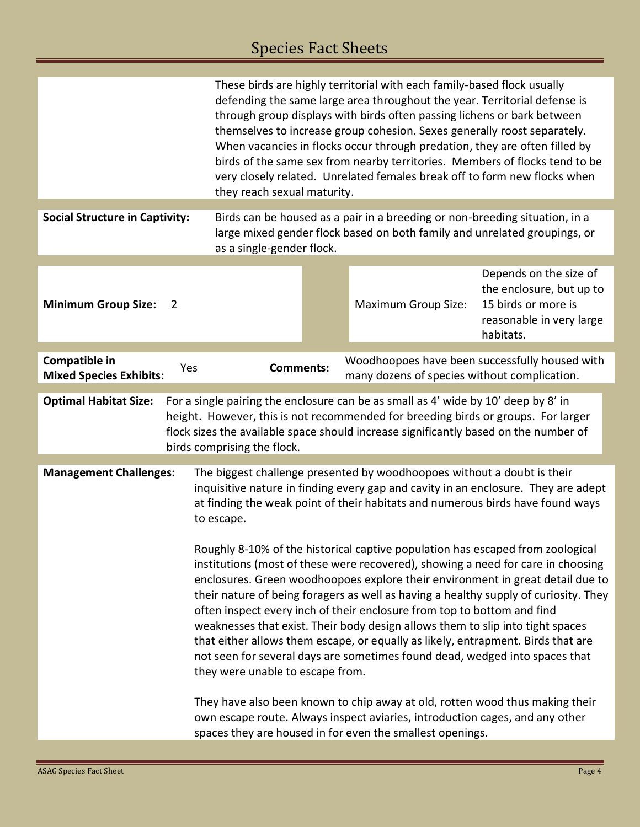# Species Fact Sheets

|                                                                                                                                                                                                                                                                                                                                                                                                                                                                                                                                                                                                                                                                                                                  |                  | These birds are highly territorial with each family-based flock usually<br>defending the same large area throughout the year. Territorial defense is<br>through group displays with birds often passing lichens or bark between<br>themselves to increase group cohesion. Sexes generally roost separately.<br>When vacancies in flocks occur through predation, they are often filled by<br>birds of the same sex from nearby territories. Members of flocks tend to be<br>very closely related. Unrelated females break off to form new flocks when<br>they reach sexual maturity. |                                              |                                                                                                                    |  |  |
|------------------------------------------------------------------------------------------------------------------------------------------------------------------------------------------------------------------------------------------------------------------------------------------------------------------------------------------------------------------------------------------------------------------------------------------------------------------------------------------------------------------------------------------------------------------------------------------------------------------------------------------------------------------------------------------------------------------|------------------|--------------------------------------------------------------------------------------------------------------------------------------------------------------------------------------------------------------------------------------------------------------------------------------------------------------------------------------------------------------------------------------------------------------------------------------------------------------------------------------------------------------------------------------------------------------------------------------|----------------------------------------------|--------------------------------------------------------------------------------------------------------------------|--|--|
| <b>Social Structure in Captivity:</b>                                                                                                                                                                                                                                                                                                                                                                                                                                                                                                                                                                                                                                                                            |                  | Birds can be housed as a pair in a breeding or non-breeding situation, in a<br>large mixed gender flock based on both family and unrelated groupings, or<br>as a single-gender flock.                                                                                                                                                                                                                                                                                                                                                                                                |                                              |                                                                                                                    |  |  |
| <b>Minimum Group Size:</b><br>2                                                                                                                                                                                                                                                                                                                                                                                                                                                                                                                                                                                                                                                                                  |                  |                                                                                                                                                                                                                                                                                                                                                                                                                                                                                                                                                                                      | <b>Maximum Group Size:</b>                   | Depends on the size of<br>the enclosure, but up to<br>15 birds or more is<br>reasonable in very large<br>habitats. |  |  |
| Compatible in<br>Yes<br><b>Mixed Species Exhibits:</b>                                                                                                                                                                                                                                                                                                                                                                                                                                                                                                                                                                                                                                                           | <b>Comments:</b> |                                                                                                                                                                                                                                                                                                                                                                                                                                                                                                                                                                                      | many dozens of species without complication. | Woodhoopoes have been successfully housed with                                                                     |  |  |
| For a single pairing the enclosure can be as small as 4' wide by 10' deep by 8' in<br><b>Optimal Habitat Size:</b><br>height. However, this is not recommended for breeding birds or groups. For larger<br>flock sizes the available space should increase significantly based on the number of<br>birds comprising the flock.                                                                                                                                                                                                                                                                                                                                                                                   |                  |                                                                                                                                                                                                                                                                                                                                                                                                                                                                                                                                                                                      |                                              |                                                                                                                    |  |  |
| <b>Management Challenges:</b><br>The biggest challenge presented by woodhoopoes without a doubt is their<br>inquisitive nature in finding every gap and cavity in an enclosure. They are adept<br>at finding the weak point of their habitats and numerous birds have found ways<br>to escape.                                                                                                                                                                                                                                                                                                                                                                                                                   |                  |                                                                                                                                                                                                                                                                                                                                                                                                                                                                                                                                                                                      |                                              |                                                                                                                    |  |  |
| Roughly 8-10% of the historical captive population has escaped from zoological<br>institutions (most of these were recovered), showing a need for care in choosing<br>enclosures. Green woodhoopoes explore their environment in great detail due to<br>their nature of being foragers as well as having a healthy supply of curiosity. They<br>often inspect every inch of their enclosure from top to bottom and find<br>weaknesses that exist. Their body design allows them to slip into tight spaces<br>that either allows them escape, or equally as likely, entrapment. Birds that are<br>not seen for several days are sometimes found dead, wedged into spaces that<br>they were unable to escape from. |                  |                                                                                                                                                                                                                                                                                                                                                                                                                                                                                                                                                                                      |                                              |                                                                                                                    |  |  |
|                                                                                                                                                                                                                                                                                                                                                                                                                                                                                                                                                                                                                                                                                                                  |                  | They have also been known to chip away at old, rotten wood thus making their<br>own escape route. Always inspect aviaries, introduction cages, and any other<br>spaces they are housed in for even the smallest openings.                                                                                                                                                                                                                                                                                                                                                            |                                              |                                                                                                                    |  |  |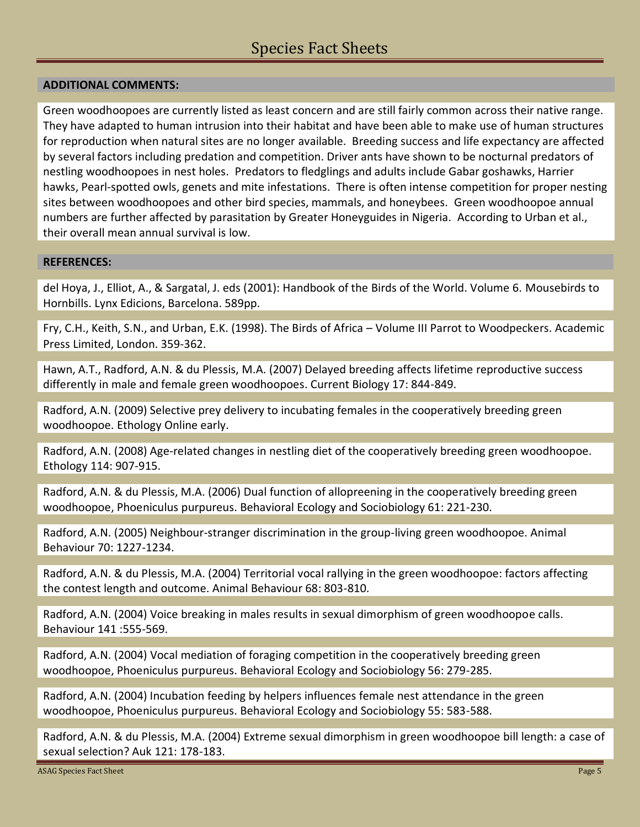### **ADDITIONAL COMMENTS:**

Green woodhoopoes are currently listed as least concern and are still fairly common across their native range. They have adapted to human intrusion into their habitat and have been able to make use of human structures for reproduction when natural sites are no longer available. Breeding success and life expectancy are affected by several factors including predation and competition. Driver ants have shown to be nocturnal predators of nestling woodhoopoes in nest holes. Predators to fledglings and adults include Gabar goshawks, Harrier hawks, Pearl-spotted owls, genets and mite infestations. There is often intense competition for proper nesting sites between woodhoopoes and other bird species, mammals, and honeybees. Green woodhoopoe annual numbers are further affected by parasitation by Greater Honeyguides in Nigeria. According to Urban et al., their overall mean annual survival is low.

### **REFERENCES:**

del Hoya, J., Elliot, A., & Sargatal, J. eds (2001): Handbook of the Birds of the World. Volume 6. Mousebirds to Hornbills. Lynx Edicions, Barcelona. 589pp.

Fry, C.H., Keith, S.N., and Urban, E.K. (1998). The Birds of Africa – Volume III Parrot to Woodpeckers. Academic Press Limited, London. 359-362.

Hawn, A.T., Radford, A.N. & du Plessis, M.A. (2007) Delayed breeding affects lifetime reproductive success differently in male and female green woodhoopoes. Current Biology 17: 844-849.

Radford, A.N. (2009) Selective prey delivery to incubating females in the cooperatively breeding green woodhoopoe. Ethology Online early.

Radford, A.N. (2008) Age-related changes in nestling diet of the cooperatively breeding green woodhoopoe. Ethology 114: 907-915.

Radford, A.N. & du Plessis, M.A. (2006) Dual function of allopreening in the cooperatively breeding green woodhoopoe, Phoeniculus purpureus. Behavioral Ecology and Sociobiology 61: 221-230.

Radford, A.N. (2005) Neighbour-stranger discrimination in the group-living green woodhoopoe. Animal Behaviour 70: 1227-1234.

Radford, A.N. & du Plessis, M.A. (2004) Territorial vocal rallying in the green woodhoopoe: factors affecting the contest length and outcome. Animal Behaviour 68: 803-810.

Radford, A.N. (2004) Voice breaking in males results in sexual dimorphism of green woodhoopoe calls. Behaviour 141 :555-569.

Radford, A.N. (2004) Vocal mediation of foraging competition in the cooperatively breeding green woodhoopoe, Phoeniculus purpureus. Behavioral Ecology and Sociobiology 56: 279-285.

Radford, A.N. (2004) Incubation feeding by helpers influences female nest attendance in the green woodhoopoe, Phoeniculus purpureus. Behavioral Ecology and Sociobiology 55: 583-588.

Radford, A.N. & du Plessis, M.A. (2004) Extreme sexual dimorphism in green woodhoopoe bill length: a case of sexual selection? Auk 121: 178-183.